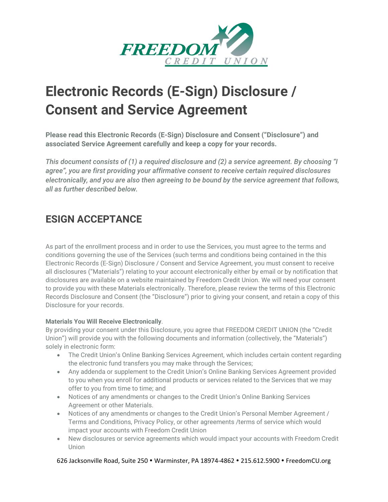

# **Electronic Records (E-Sign) Disclosure / Consent and Service Agreement**

**Please read this Electronic Records (E-Sign) Disclosure and Consent ("Disclosure") and associated Service Agreement carefully and keep a copy for your records.**

*This document consists of (1) a required disclosure and (2) a service agreement. By choosing "I agree", you are first providing your affirmative consent to receive certain required disclosures electronically, and you are also then agreeing to be bound by the service agreement that follows, all as further described below.*

# **ESIGN ACCEPTANCE**

As part of the enrollment process and in order to use the Services, you must agree to the terms and conditions governing the use of the Services (such terms and conditions being contained in the this Electronic Records (E-Sign) Disclosure / Consent and Service Agreement, you must consent to receive all disclosures ("Materials") relating to your account electronically either by email or by notification that disclosures are available on a website maintained by Freedom Credit Union. We will need your consent to provide you with these Materials electronically. Therefore, please review the terms of this Electronic Records Disclosure and Consent (the "Disclosure") prior to giving your consent, and retain a copy of this Disclosure for your records.

# **Materials You Will Receive Electronically**.

By providing your consent under this Disclosure, you agree that FREEDOM CREDIT UNION (the "Credit Union") will provide you with the following documents and information (collectively, the "Materials") solely in electronic form:

- The Credit Union's Online Banking Services Agreement, which includes certain content regarding the electronic fund transfers you may make through the Services;
- Any addenda or supplement to the Credit Union's Online Banking Services Agreement provided to you when you enroll for additional products or services related to the Services that we may offer to you from time to time; and
- Notices of any amendments or changes to the Credit Union's Online Banking Services Agreement or other Materials.
- Notices of any amendments or changes to the Credit Union's Personal Member Agreement / Terms and Conditions, Privacy Policy, or other agreements /terms of service which would impact your accounts with Freedom Credit Union
- New disclosures or service agreements which would impact your accounts with Freedom Credit Union

# 626 Jacksonville Road, Suite 250 Warminster, PA 18974-4862 215.612.5900 FreedomCU.org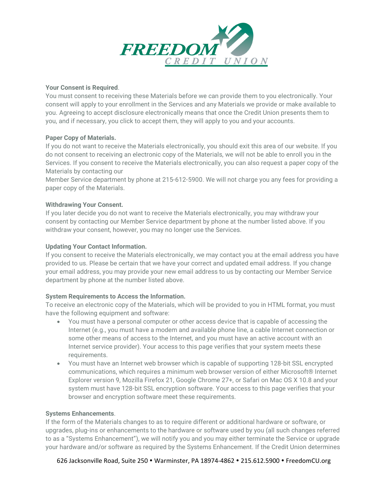

## **Your Consent is Required**.

You must consent to receiving these Materials before we can provide them to you electronically. Your consent will apply to your enrollment in the Services and any Materials we provide or make available to you. Agreeing to accept disclosure electronically means that once the Credit Union presents them to you, and if necessary, you click to accept them, they will apply to you and your accounts.

# **Paper Copy of Materials.**

If you do not want to receive the Materials electronically, you should exit this area of our website. If you do not consent to receiving an electronic copy of the Materials, we will not be able to enroll you in the Services. If you consent to receive the Materials electronically, you can also request a paper copy of the Materials by contacting our

Member Service department by phone at 215-612-5900. We will not charge you any fees for providing a paper copy of the Materials.

# **Withdrawing Your Consent.**

If you later decide you do not want to receive the Materials electronically, you may withdraw your consent by contacting our Member Service department by phone at the number listed above. If you withdraw your consent, however, you may no longer use the Services.

### **Updating Your Contact Information.**

If you consent to receive the Materials electronically, we may contact you at the email address you have provided to us. Please be certain that we have your correct and updated email address. If you change your email address, you may provide your new email address to us by contacting our Member Service department by phone at the number listed above.

#### **System Requirements to Access the Information.**

To receive an electronic copy of the Materials, which will be provided to you in HTML format, you must have the following equipment and software:

- You must have a personal computer or other access device that is capable of accessing the Internet (e.g., you must have a modem and available phone line, a cable Internet connection or some other means of access to the Internet, and you must have an active account with an Internet service provider). Your access to this page verifies that your system meets these requirements.
- You must have an Internet web browser which is capable of supporting 128-bit SSL encrypted communications, which requires a minimum web browser version of either Microsoft® Internet Explorer version 9, Mozilla Firefox 21, Google Chrome 27+, or Safari on Mac OS X 10.8 and your system must have 128-bit SSL encryption software. Your access to this page verifies that your browser and encryption software meet these requirements.

#### **Systems Enhancements**.

If the form of the Materials changes to as to require different or additional hardware or software, or upgrades, plug-ins or enhancements to the hardware or software used by you (all such changes referred to as a "Systems Enhancement"), we will notify you and you may either terminate the Service or upgrade your hardware and/or software as required by the Systems Enhancement. If the Credit Union determines

#### 626 Jacksonville Road, Suite 250 Warminster, PA 18974-4862 215.612.5900 FreedomCU.org